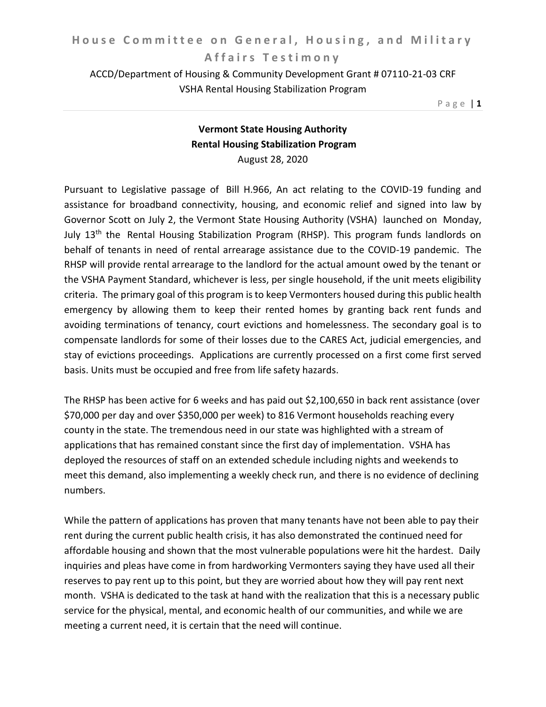ACCD/Department of Housing & Community Development Grant # 07110-21-03 CRF VSHA Rental Housing Stabilization Program

P a g e | **1**

## **Vermont State Housing Authority Rental Housing Stabilization Program**  August 28, 2020

Pursuant to Legislative passage of Bill H.966, An act relating to the COVID-19 funding and assistance for broadband connectivity, housing, and economic relief and signed into law by Governor Scott on July 2, the Vermont State Housing Authority (VSHA) launched on Monday, July 13<sup>th</sup> the Rental Housing Stabilization Program (RHSP). This program funds landlords on behalf of tenants in need of rental arrearage assistance due to the COVID-19 pandemic. The RHSP will provide rental arrearage to the landlord for the actual amount owed by the tenant or the VSHA Payment Standard, whichever is less, per single household, if the unit meets eligibility criteria. The primary goal of this program is to keep Vermonters housed during this public health emergency by allowing them to keep their rented homes by granting back rent funds and avoiding terminations of tenancy, court evictions and homelessness. The secondary goal is to compensate landlords for some of their losses due to the CARES Act, judicial emergencies, and stay of evictions proceedings. Applications are currently processed on a first come first served basis. Units must be occupied and free from life safety hazards.

The RHSP has been active for 6 weeks and has paid out \$2,100,650 in back rent assistance (over \$70,000 per day and over \$350,000 per week) to 816 Vermont households reaching every county in the state. The tremendous need in our state was highlighted with a stream of applications that has remained constant since the first day of implementation. VSHA has deployed the resources of staff on an extended schedule including nights and weekends to meet this demand, also implementing a weekly check run, and there is no evidence of declining numbers.

While the pattern of applications has proven that many tenants have not been able to pay their rent during the current public health crisis, it has also demonstrated the continued need for affordable housing and shown that the most vulnerable populations were hit the hardest. Daily inquiries and pleas have come in from hardworking Vermonters saying they have used all their reserves to pay rent up to this point, but they are worried about how they will pay rent next month. VSHA is dedicated to the task at hand with the realization that this is a necessary public service for the physical, mental, and economic health of our communities, and while we are meeting a current need, it is certain that the need will continue.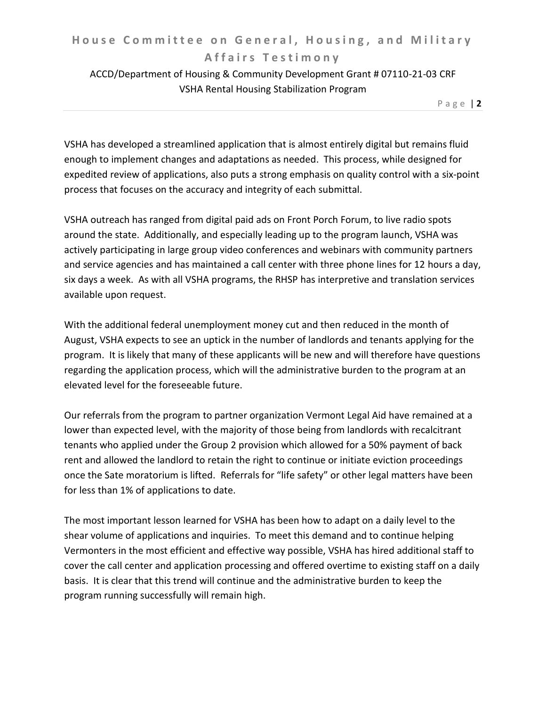## **House Committee on General, Housing, and Military A f f a i r s T e s t i m o n y**

## ACCD/Department of Housing & Community Development Grant # 07110-21-03 CRF VSHA Rental Housing Stabilization Program

P a g e | **2**

VSHA has developed a streamlined application that is almost entirely digital but remains fluid enough to implement changes and adaptations as needed. This process, while designed for expedited review of applications, also puts a strong emphasis on quality control with a six-point process that focuses on the accuracy and integrity of each submittal.

VSHA outreach has ranged from digital paid ads on Front Porch Forum, to live radio spots around the state. Additionally, and especially leading up to the program launch, VSHA was actively participating in large group video conferences and webinars with community partners and service agencies and has maintained a call center with three phone lines for 12 hours a day, six days a week. As with all VSHA programs, the RHSP has interpretive and translation services available upon request.

With the additional federal unemployment money cut and then reduced in the month of August, VSHA expects to see an uptick in the number of landlords and tenants applying for the program. It is likely that many of these applicants will be new and will therefore have questions regarding the application process, which will the administrative burden to the program at an elevated level for the foreseeable future.

Our referrals from the program to partner organization Vermont Legal Aid have remained at a lower than expected level, with the majority of those being from landlords with recalcitrant tenants who applied under the Group 2 provision which allowed for a 50% payment of back rent and allowed the landlord to retain the right to continue or initiate eviction proceedings once the Sate moratorium is lifted. Referrals for "life safety" or other legal matters have been for less than 1% of applications to date.

The most important lesson learned for VSHA has been how to adapt on a daily level to the shear volume of applications and inquiries. To meet this demand and to continue helping Vermonters in the most efficient and effective way possible, VSHA has hired additional staff to cover the call center and application processing and offered overtime to existing staff on a daily basis. It is clear that this trend will continue and the administrative burden to keep the program running successfully will remain high.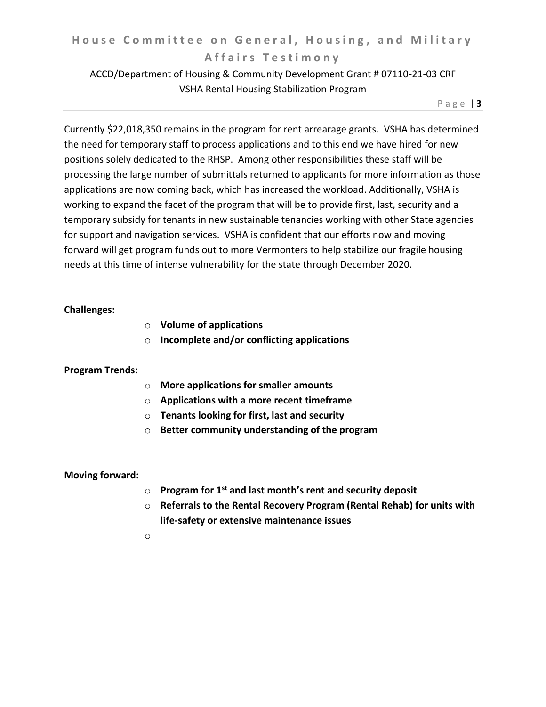## **House Committee on General, Housing, and Military A f f a i r s T e s t i m o n y**

## ACCD/Department of Housing & Community Development Grant # 07110-21-03 CRF VSHA Rental Housing Stabilization Program

P a g e | **3**

Currently \$22,018,350 remains in the program for rent arrearage grants. VSHA has determined the need for temporary staff to process applications and to this end we have hired for new positions solely dedicated to the RHSP. Among other responsibilities these staff will be processing the large number of submittals returned to applicants for more information as those applications are now coming back, which has increased the workload. Additionally, VSHA is working to expand the facet of the program that will be to provide first, last, security and a temporary subsidy for tenants in new sustainable tenancies working with other State agencies for support and navigation services. VSHA is confident that our efforts now and moving forward will get program funds out to more Vermonters to help stabilize our fragile housing needs at this time of intense vulnerability for the state through December 2020.

#### **Challenges:**

- o **Volume of applications**
- o **Incomplete and/or conflicting applications**

#### **Program Trends:**

- o **More applications for smaller amounts**
- o **Applications with a more recent timeframe**
- o **Tenants looking for first, last and security**
- o **Better community understanding of the program**

#### **Moving forward:**

- o **Program for 1st and last month's rent and security deposit**
- o **Referrals to the Rental Recovery Program (Rental Rehab) for units with life-safety or extensive maintenance issues**
- o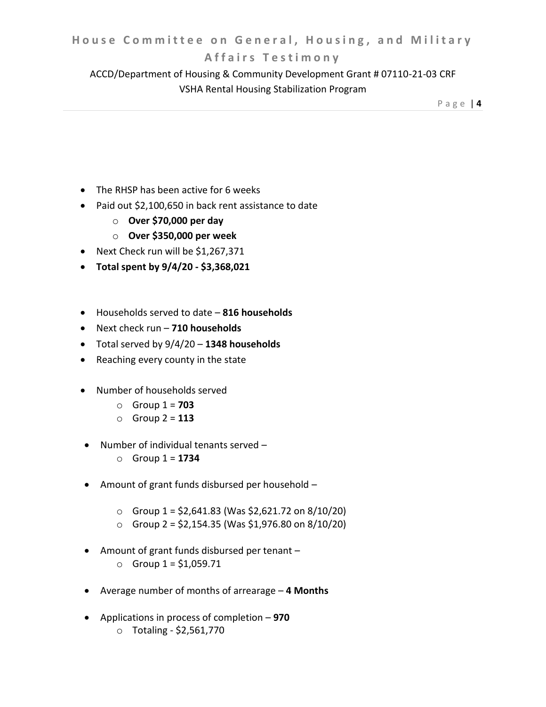### **A f f a i r s T e s t i m o n y**

ACCD/Department of Housing & Community Development Grant # 07110-21-03 CRF VSHA Rental Housing Stabilization Program

P a g e | **4**

- The RHSP has been active for 6 weeks
- Paid out \$2,100,650 in back rent assistance to date
	- o **Over \$70,000 per day**
	- o **Over \$350,000 per week**
- Next Check run will be \$1,267,371
- **Total spent by 9/4/20 - \$3,368,021**
- Households served to date **816 households**
- Next check run **710 households**
- Total served by 9/4/20 **1348 households**
- Reaching every county in the state
- Number of households served
	- o Group 1 = **703**
	- o Group 2 = **113**
- Number of individual tenants served
	- $\circ$  Group 1 = **1734**
- Amount of grant funds disbursed per household
	- $\circ$  Group 1 = \$2,641.83 (Was \$2,621.72 on 8/10/20)
	- $\circ$  Group 2 = \$2,154.35 (Was \$1,976.80 on 8/10/20)
- Amount of grant funds disbursed per tenant
	- $\circ$  Group 1 = \$1,059.71
- Average number of months of arrearage **4 Months**
- Applications in process of completion **970**
	- o Totaling \$2,561,770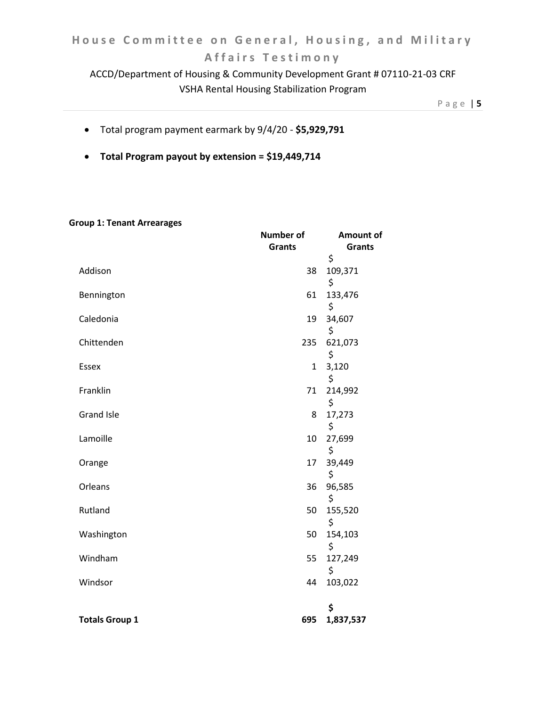# **House Committee on General, Housing, and Military A f f a i r s T e s t i m o n y**

## ACCD/Department of Housing & Community Development Grant # 07110-21-03 CRF VSHA Rental Housing Stabilization Program

P a g e | **5**

- Total program payment earmark by 9/4/20 **\$5,929,791**
- **Total Program payout by extension = \$19,449,714**

#### **Group 1: Tenant Arrearages**

|                       | Number of     | Amount of     |
|-----------------------|---------------|---------------|
|                       | <b>Grants</b> | <b>Grants</b> |
|                       |               | \$            |
| Addison               | 38            | 109,371       |
|                       |               | \$<br>133,476 |
| Bennington            | 61            | \$            |
| Caledonia             | 19            | 34,607        |
|                       |               | \$            |
| Chittenden            | 235           | 621,073       |
|                       |               | \$            |
| Essex                 | $\mathbf{1}$  | 3,120         |
|                       |               | \$            |
| Franklin              | 71            | 214,992       |
|                       |               | \$            |
| <b>Grand Isle</b>     | 8             | 17,273        |
|                       |               | \$            |
| Lamoille              | 10            | 27,699        |
|                       |               | \$            |
| Orange                | 17            | 39,449        |
|                       |               | \$            |
| Orleans               | 36            | 96,585        |
|                       |               | \$            |
| Rutland               | 50            | 155,520       |
|                       |               | \$            |
| Washington            | 50            | 154,103       |
|                       |               | \$            |
| Windham               | 55            | 127,249       |
|                       |               | \$            |
| Windsor               | 44            | 103,022       |
|                       |               |               |
|                       |               | \$            |
| <b>Totals Group 1</b> | 695           | 1,837,537     |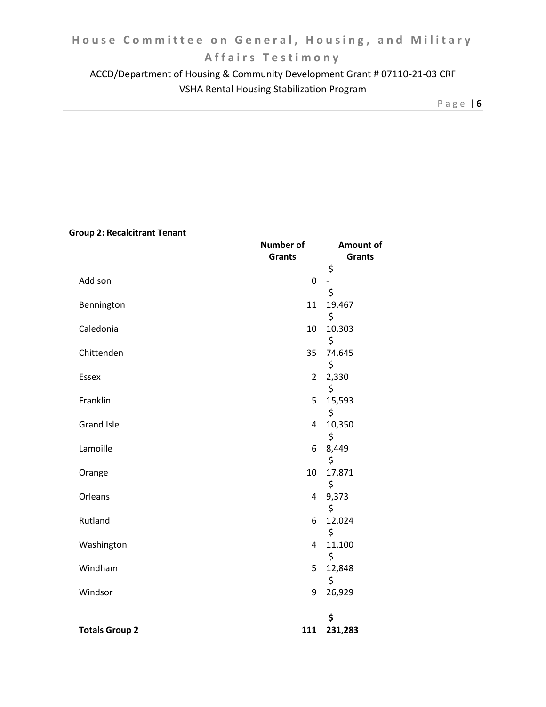# **A f f a i r s T e s t i m o n y**

ACCD/Department of Housing & Community Development Grant # 07110-21-03 CRF VSHA Rental Housing Stabilization Program

P a g e | **6**

### **Group 2: Recalcitrant Tenant**

|                       | <b>Number of</b> | Amount of      |
|-----------------------|------------------|----------------|
|                       | <b>Grants</b>    | <b>Grants</b>  |
|                       |                  | \$             |
| Addison               | $\mathbf 0$      | $\overline{a}$ |
|                       |                  | \$             |
| Bennington            | 11               | 19,467         |
|                       |                  | \$             |
| Caledonia             | 10               | 10,303         |
|                       |                  | \$             |
| Chittenden            | 35               | 74,645         |
|                       |                  | \$             |
| <b>Essex</b>          | $\overline{2}$   | 2,330          |
|                       |                  | \$             |
| Franklin              | 5                | 15,593         |
|                       |                  | \$             |
| <b>Grand Isle</b>     | 4                | 10,350         |
|                       |                  | \$             |
| Lamoille              | 6                | 8,449          |
|                       |                  | \$             |
| Orange                | 10               | 17,871         |
|                       |                  | \$             |
| Orleans               | 4                | 9,373          |
|                       |                  | \$             |
| Rutland               | 6                | 12,024         |
|                       |                  | \$             |
| Washington            | 4                | 11,100         |
|                       |                  | \$             |
| Windham               | 5                | 12,848         |
|                       |                  | \$             |
| Windsor               | 9                | 26,929         |
|                       |                  |                |
|                       |                  | \$             |
| <b>Totals Group 2</b> | 111              | 231,283        |
|                       |                  |                |